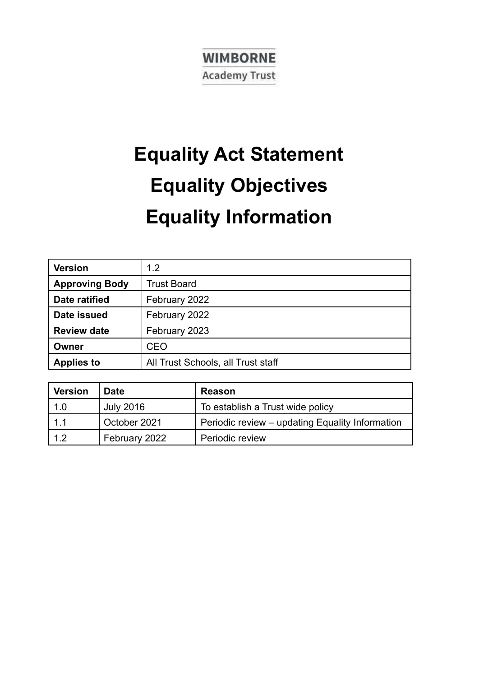## **WIMBORNE Academy Trust**

# **Equality Act Statement Equality Objectives Equality Information**

| <b>Version</b>        | 1.2                                |  |
|-----------------------|------------------------------------|--|
| <b>Approving Body</b> | <b>Trust Board</b>                 |  |
| Date ratified         | February 2022                      |  |
| Date issued           | February 2022                      |  |
| <b>Review date</b>    | February 2023                      |  |
| Owner                 | <b>CEO</b>                         |  |
| <b>Applies to</b>     | All Trust Schools, all Trust staff |  |

| <b>Version</b> | <b>Date</b>      | <b>Reason</b>                                   |  |
|----------------|------------------|-------------------------------------------------|--|
| 1.0            | <b>July 2016</b> | To establish a Trust wide policy                |  |
| 1.1            | October 2021     | Periodic review – updating Equality Information |  |
| 1.2            | February 2022    | Periodic review                                 |  |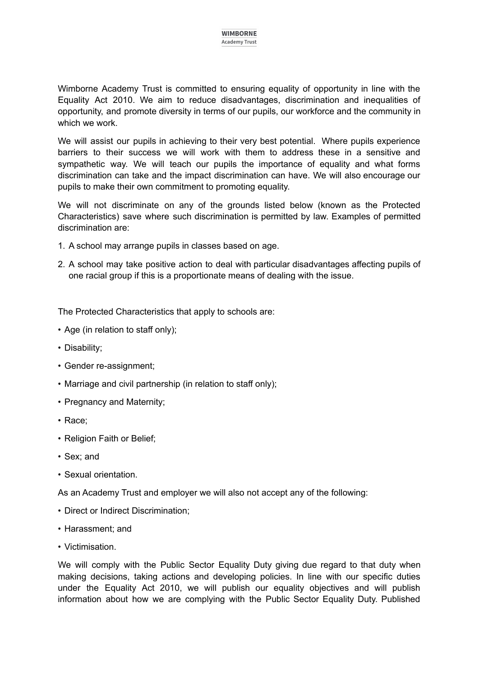Wimborne Academy Trust is committed to ensuring equality of opportunity in line with the Equality Act 2010. We aim to reduce disadvantages, discrimination and inequalities of opportunity, and promote diversity in terms of our pupils, our workforce and the community in which we work.

We will assist our pupils in achieving to their very best potential. Where pupils experience barriers to their success we will work with them to address these in a sensitive and sympathetic way. We will teach our pupils the importance of equality and what forms discrimination can take and the impact discrimination can have. We will also encourage our pupils to make their own commitment to promoting equality.

We will not discriminate on any of the grounds listed below (known as the Protected Characteristics) save where such discrimination is permitted by law. Examples of permitted discrimination are:

- 1. A school may arrange pupils in classes based on age.
- 2. A school may take positive action to deal with particular disadvantages affecting pupils of one racial group if this is a proportionate means of dealing with the issue.

The Protected Characteristics that apply to schools are:

- Age (in relation to staff only);
- Disability;
- Gender re-assignment;
- Marriage and civil partnership (in relation to staff only);
- Pregnancy and Maternity;
- Race;
- Religion Faith or Belief;
- Sex; and
- Sexual orientation.

As an Academy Trust and employer we will also not accept any of the following:

- Direct or Indirect Discrimination;
- Harassment; and
- Victimisation.

We will comply with the Public Sector Equality Duty giving due regard to that duty when making decisions, taking actions and developing policies. In line with our specific duties under the Equality Act 2010, we will publish our equality objectives and will publish information about how we are complying with the Public Sector Equality Duty. Published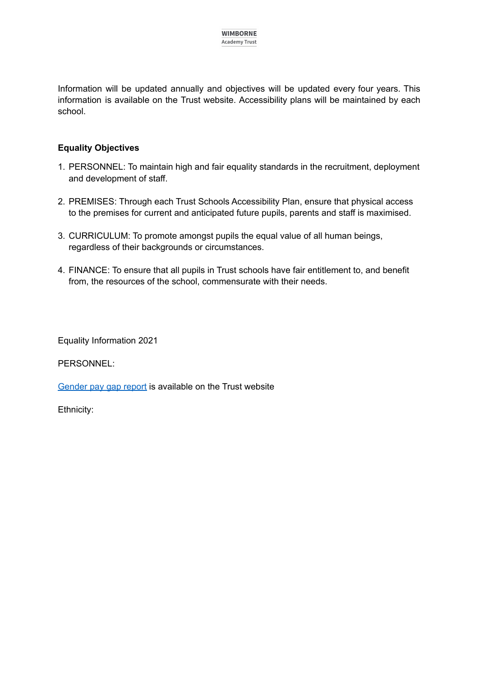Information will be updated annually and objectives will be updated every four years. This information is available on the Trust website. Accessibility plans will be maintained by each school.

### **Equality Objectives**

- 1. PERSONNEL: To maintain high and fair equality standards in the recruitment, deployment and development of staff.
- 2. PREMISES: Through each Trust Schools Accessibility Plan, ensure that physical access to the premises for current and anticipated future pupils, parents and staff is maximised.
- 3. CURRICULUM: To promote amongst pupils the equal value of all human beings, regardless of their backgrounds or circumstances.
- 4. FINANCE: To ensure that all pupils in Trust schools have fair entitlement to, and benefit from, the resources of the school, commensurate with their needs.

Equality Information 2021

PERSONNEL:

[Gender](https://www.wimborneacademytrust.org/page/?title=Document+Zone&pid=22) pay gap report is available on the Trust website

Ethnicity: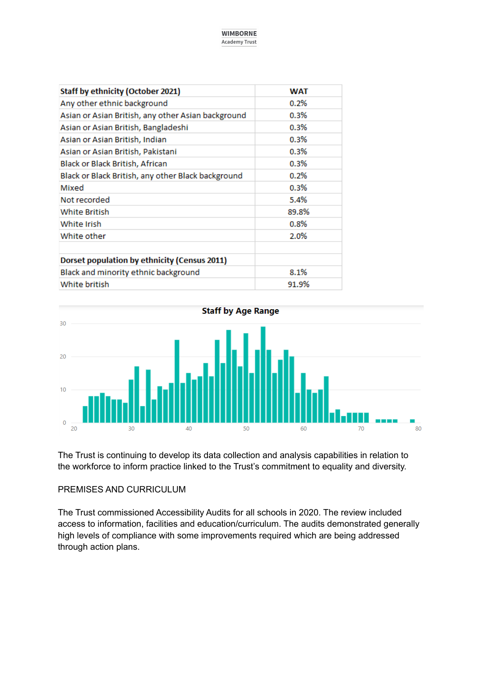**WIMBORNE Academy Trust** 

| <b>Staff by ethnicity (October 2021)</b>           | <b>WAT</b> |
|----------------------------------------------------|------------|
| Any other ethnic background                        | 0.2%       |
| Asian or Asian British, any other Asian background | 0.3%       |
| Asian or Asian British, Bangladeshi                | 0.3%       |
| Asian or Asian British, Indian                     | 0.3%       |
| Asian or Asian British, Pakistani                  | 0.3%       |
| Black or Black British, African                    | 0.3%       |
| Black or Black British, any other Black background | 0.2%       |
| Mixed                                              | 0.3%       |
| Not recorded                                       | 5.4%       |
| <b>White British</b>                               | 89.8%      |
| White Irish                                        | $0.8\%$    |
| White other                                        | 2.0%       |
| Dorset population by ethnicity (Census 2011)       |            |
| Black and minority ethnic background               | 8.1%       |
| White british                                      | 91.9%      |



The Trust is continuing to develop its data collection and analysis capabilities in relation to the workforce to inform practice linked to the Trust's commitment to equality and diversity.

#### PREMISES AND CURRICULUM

The Trust commissioned Accessibility Audits for all schools in 2020. The review included access to information, facilities and education/curriculum. The audits demonstrated generally high levels of compliance with some improvements required which are being addressed through action plans.